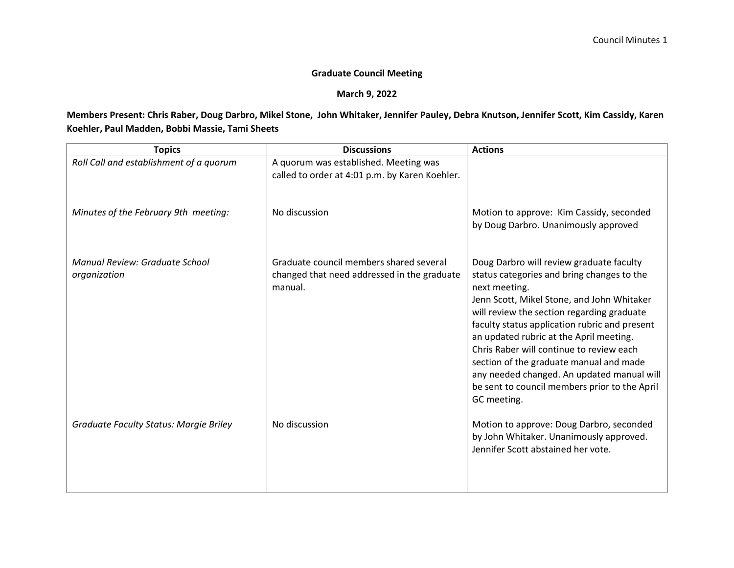## **Graduate Council Meeting**

## **March 9, 2022**

## **Members Present: Chris Raber, Doug Darbro, Mikel Stone, John Whitaker, Jennifer Pauley, Debra Knutson, Jennifer Scott, Kim Cassidy, Karen Koehler, Paul Madden, Bobbi Massie, Tami Sheets**

| <b>Topics</b>                                  | <b>Discussions</b>                                                                                | <b>Actions</b>                                                                                                                                                                                                                                                                                                                                                                                                                                                                                       |
|------------------------------------------------|---------------------------------------------------------------------------------------------------|------------------------------------------------------------------------------------------------------------------------------------------------------------------------------------------------------------------------------------------------------------------------------------------------------------------------------------------------------------------------------------------------------------------------------------------------------------------------------------------------------|
| Roll Call and establishment of a quorum        | A quorum was established. Meeting was<br>called to order at 4:01 p.m. by Karen Koehler.           |                                                                                                                                                                                                                                                                                                                                                                                                                                                                                                      |
| Minutes of the February 9th meeting:           | No discussion                                                                                     | Motion to approve: Kim Cassidy, seconded<br>by Doug Darbro. Unanimously approved                                                                                                                                                                                                                                                                                                                                                                                                                     |
| Manual Review: Graduate School<br>organization | Graduate council members shared several<br>changed that need addressed in the graduate<br>manual. | Doug Darbro will review graduate faculty<br>status categories and bring changes to the<br>next meeting.<br>Jenn Scott, Mikel Stone, and John Whitaker<br>will review the section regarding graduate<br>faculty status application rubric and present<br>an updated rubric at the April meeting.<br>Chris Raber will continue to review each<br>section of the graduate manual and made<br>any needed changed. An updated manual will<br>be sent to council members prior to the April<br>GC meeting. |
| <b>Graduate Faculty Status: Margie Briley</b>  | No discussion                                                                                     | Motion to approve: Doug Darbro, seconded<br>by John Whitaker. Unanimously approved.<br>Jennifer Scott abstained her vote.                                                                                                                                                                                                                                                                                                                                                                            |